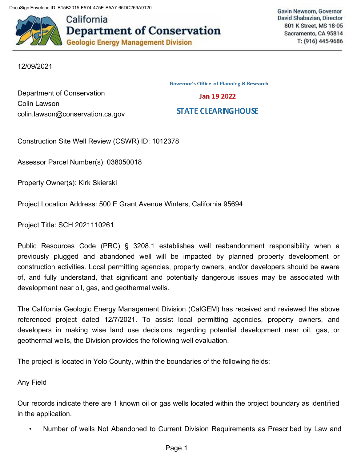DocuSign Envelope ID: B15B2015-F574-475E-B5A7-65DC269A9120



California **Department of Conservation Geologic Energy Management Division** 

Gavin Newsom, Governor David Shabazian, Director 801 K Street, MS 18-05 Sacramento, CA 95814 T: (916) 445-9686

12/09/2021

Colin Lawson

**Governor's Office of Planning & Research** Jan 19 2022 **STATE CLEARING HOUSE** 

Construction Site Well Review (CSWR) ID: 1012378

Assessor Parcel Number(s): 038050018

Property Owner(s): Kirk Skierski

Department of Conservation

[colin.lawson@conservation.ca.gov](mailto:colin.lawson@conservation.ca.gov)

Project Location Address: 500 E Grant Avenue Winters, California 95694

Project Title: SCH 2021110261

Public Resources Code (PRC) § 3208.1 establishes well reabandonment responsibility when a previously plugged and abandoned well will be impacted by planned property development or construction activities. Local permitting agencies, property owners, and/or developers should be aware of, and fully understand, that significant and potentially dangerous issues may be associated with development near oil, gas, and geothermal wells.

The California Geologic Energy Management Division (CalGEM) has received and reviewed the above referenced project dated 12/7/2021. To assist local permitting agencies, property owners, and developers in making wise land use decisions regarding potential development near oil, gas, or geothermal wells, the Division provides the following well evaluation.

The project is located in Yolo County, within the boundaries of the following fields:

Any Field

Our records indicate there are 1 known oil or gas wells located within the project boundary as identified in the application.

• Number of wells Not Abandoned to Current Division Requirements as Prescribed by Law and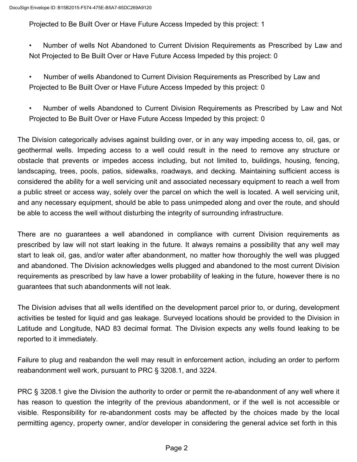Projected to Be Built Over or Have Future Access Impeded by this project: 1

- Number of wells Not Abandoned to Current Division Requirements as Prescribed by Law and Not Projected to Be Built Over or Have Future Access Impeded by this project: 0
- Number of wells Abandoned to Current Division Requirements as Prescribed by Law and Projected to Be Built Over or Have Future Access Impeded by this project: 0
- Number of wells Abandoned to Current Division Requirements as Prescribed by Law and Not Projected to Be Built Over or Have Future Access Impeded by this project: 0

The Division categorically advises against building over, or in any way impeding access to, oil, gas, or geothermal wells. Impeding access to a well could result in the need to remove any structure or obstacle that prevents or impedes access including, but not limited to, buildings, housing, fencing, landscaping, trees, pools, patios, sidewalks, roadways, and decking. Maintaining sufficient access is considered the ability for a well servicing unit and associated necessary equipment to reach a well from a public street or access way, solely over the parcel on which the well is located. A well servicing unit, and any necessary equipment, should be able to pass unimpeded along and over the route, and should be able to access the well without disturbing the integrity of surrounding infrastructure.

There are no guarantees a well abandoned in compliance with current Division requirements as prescribed by law will not start leaking in the future. It always remains a possibility that any well may start to leak oil, gas, and/or water after abandonment, no matter how thoroughly the well was plugged and abandoned. The Division acknowledges wells plugged and abandoned to the most current Division requirements as prescribed by law have a lower probability of leaking in the future, however there is no guarantees that such abandonments will not leak.

The Division advises that all wells identified on the development parcel prior to, or during, development activities be tested for liquid and gas leakage. Surveyed locations should be provided to the Division in Latitude and Longitude, NAD 83 decimal format. The Division expects any wells found leaking to be reported to it immediately.

Failure to plug and reabandon the well may result in enforcement action, including an order to perform reabandonment well work, pursuant to PRC § 3208.1, and 3224.

PRC § 3208.1 give the Division the authority to order or permit the re-abandonment of any well where it has reason to question the integrity of the previous abandonment, or if the well is not accessible or visible. Responsibility for re-abandonment costs may be affected by the choices made by the local permitting agency, property owner, and/or developer in considering the general advice set forth in this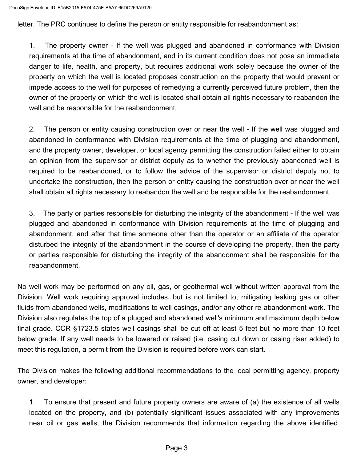letter. The PRC continues to define the person or entity responsible for reabandonment as:

1. The property owner - If the well was plugged and abandoned in conformance with Division requirements at the time of abandonment, and in its current condition does not pose an immediate danger to life, health, and property, but requires additional work solely because the owner of the property on which the well is located proposes construction on the property that would prevent or impede access to the well for purposes of remedying a currently perceived future problem, then the owner of the property on which the well is located shall obtain all rights necessary to reabandon the well and be responsible for the reabandonment.

2. The person or entity causing construction over or near the well - If the well was plugged and abandoned in conformance with Division requirements at the time of plugging and abandonment, and the property owner, developer, or local agency permitting the construction failed either to obtain an opinion from the supervisor or district deputy as to whether the previously abandoned well is required to be reabandoned, or to follow the advice of the supervisor or district deputy not to undertake the construction, then the person or entity causing the construction over or near the well shall obtain all rights necessary to reabandon the well and be responsible for the reabandonment.

3. The party or parties responsible for disturbing the integrity of the abandonment - If the well was plugged and abandoned in conformance with Division requirements at the time of plugging and abandonment, and after that time someone other than the operator or an affiliate of the operator disturbed the integrity of the abandonment in the course of developing the property, then the party or parties responsible for disturbing the integrity of the abandonment shall be responsible for the reabandonment.

No well work may be performed on any oil, gas, or geothermal well without written approval from the Division. Well work requiring approval includes, but is not limited to, mitigating leaking gas or other fluids from abandoned wells, modifications to well casings, and/or any other re-abandonment work. The Division also regulates the top of a plugged and abandoned well's minimum and maximum depth below final grade. CCR §1723.5 states well casings shall be cut off at least 5 feet but no more than 10 feet below grade. If any well needs to be lowered or raised (i.e. casing cut down or casing riser added) to meet this regulation, a permit from the Division is required before work can start.

The Division makes the following additional recommendations to the local permitting agency, property owner, and developer:

1. To ensure that present and future property owners are aware of (a) the existence of all wells located on the property, and (b) potentially significant issues associated with any improvements near oil or gas wells, the Division recommends that information regarding the above identified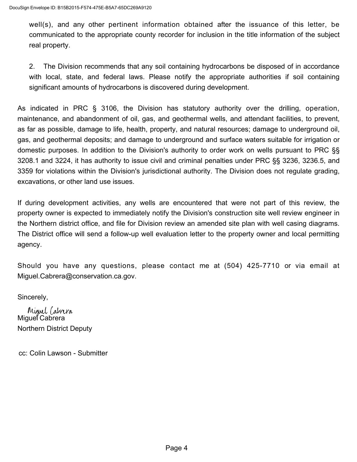well(s), and any other pertinent information obtained after the issuance of this letter, be communicated to the appropriate county recorder for inclusion in the title information of the subject real property.

2. The Division recommends that any soil containing hydrocarbons be disposed of in accordance with local, state, and federal laws. Please notify the appropriate authorities if soil containing significant amounts of hydrocarbons is discovered during development.

As indicated in PRC § 3106, the Division has statutory authority over the drilling, operation, maintenance, and abandonment of oil, gas, and geothermal wells, and attendant facilities, to prevent, as far as possible, damage to life, health, property, and natural resources; damage to underground oil, gas, and geothermal deposits; and damage to underground and surface waters suitable for irrigation or domestic purposes. In addition to the Division's authority to order work on wells pursuant to PRC §§ 3208.1 and 3224, it has authority to issue civil and criminal penalties under PRC §§ 3236, 3236.5, and 3359 for violations within the Division's jurisdictional authority. The Division does not regulate grading, excavations, or other land use issues.

If during development activities, any wells are encountered that were not part of this review, the property owner is expected to immediately notify the Division's construction site well review engineer in the Northern district office, and file for Division review an amended site plan with well casing diagrams. The District office will send a follow-up well evaluation letter to the property owner and local permitting agency.

Should you have any questions, please contact me at (504) 425-7710 or via email at [Miguel.Cabrera@conservation.ca.gov.](mailto:Miguel.Cabrera@conservation.ca.gov)

Sincerely,

Miguel Cabrera Miquel Cabrera Northern District Deputy

cc: Colin Lawson - Submitter